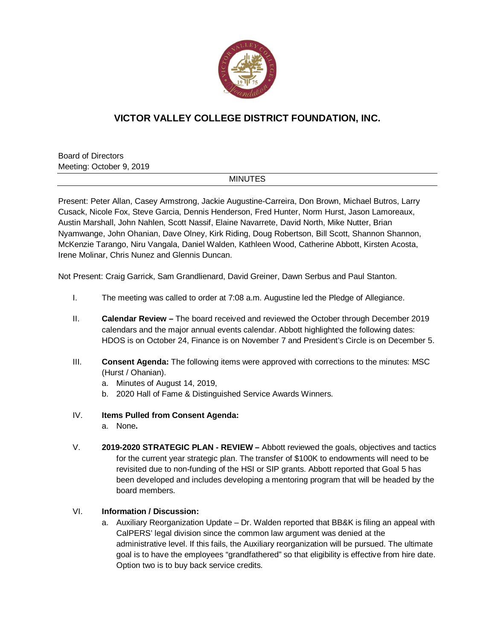

## **VICTOR VALLEY COLLEGE DISTRICT FOUNDATION, INC.**

Board of Directors Meeting: October 9, 2019

## **MINUTES**

Present: Peter Allan, Casey Armstrong, Jackie Augustine-Carreira, Don Brown, Michael Butros, Larry Cusack, Nicole Fox, Steve Garcia, Dennis Henderson, Fred Hunter, Norm Hurst, Jason Lamoreaux, Austin Marshall, John Nahlen, Scott Nassif, Elaine Navarrete, David North, Mike Nutter, Brian Nyamwange, John Ohanian, Dave Olney, Kirk Riding, Doug Robertson, Bill Scott, Shannon Shannon, McKenzie Tarango, Niru Vangala, Daniel Walden, Kathleen Wood, Catherine Abbott, Kirsten Acosta, Irene Molinar, Chris Nunez and Glennis Duncan.

Not Present: Craig Garrick, Sam Grandlienard, David Greiner, Dawn Serbus and Paul Stanton.

- I. The meeting was called to order at 7:08 a.m. Augustine led the Pledge of Allegiance.
- II. **Calendar Review –** The board received and reviewed the October through December 2019 calendars and the major annual events calendar. Abbott highlighted the following dates: HDOS is on October 24, Finance is on November 7 and President's Circle is on December 5.
- III. **Consent Agenda:** The following items were approved with corrections to the minutes: MSC (Hurst / Ohanian).
	- a. Minutes of August 14, 2019,
	- b. 2020 Hall of Fame & Distinguished Service Awards Winners.
- IV. **Items Pulled from Consent Agenda:**
	- a. None**.**
- V. **2019-2020 STRATEGIC PLAN - REVIEW –** Abbott reviewed the goals, objectives and tactics for the current year strategic plan. The transfer of \$100K to endowments will need to be revisited due to non-funding of the HSI or SIP grants. Abbott reported that Goal 5 has been developed and includes developing a mentoring program that will be headed by the board members.

## VI. **Information / Discussion:**

a. Auxiliary Reorganization Update – Dr. Walden reported that BB&K is filing an appeal with CalPERS' legal division since the common law argument was denied at the administrative level. If this fails, the Auxiliary reorganization will be pursued. The ultimate goal is to have the employees "grandfathered" so that eligibility is effective from hire date. Option two is to buy back service credits.